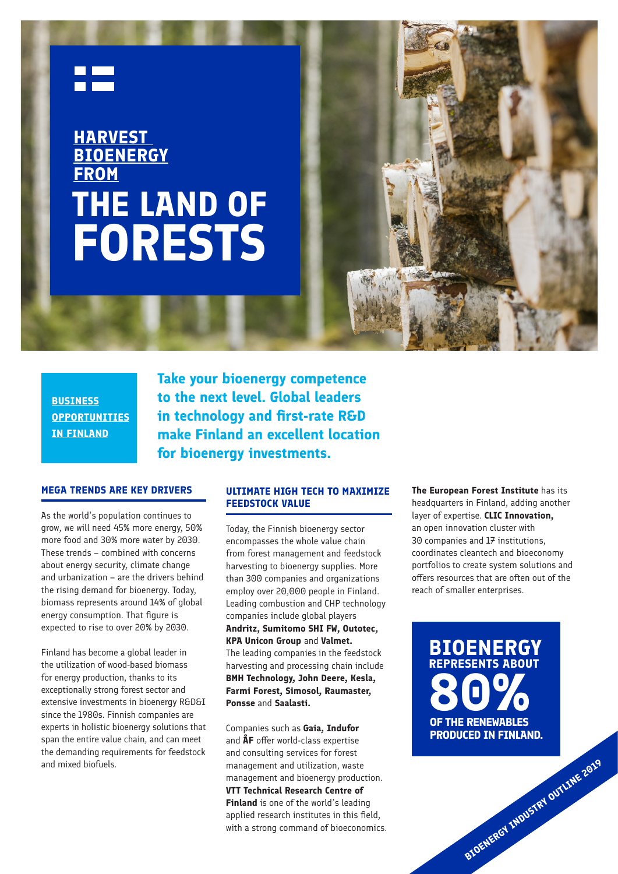

# **THE LAND OF FORESTS HARVEST BIOENERGY FROM**



**BUSINESS OPPORTUNITIES IN FINLAND**

**Take your bioenergy competence to the next level. Global leaders in technology and first-rate R&D make Finland an excellent location for bioenergy investments.** 

#### **MEGA TRENDS ARE KEY DRIVERS**

As the world's population continues to grow, we will need 45% more energy, 50% more food and 30% more water by 2030. These trends – combined with concerns about energy security, climate change and urbanization – are the drivers behind the rising demand for bioenergy. Today, biomass represents around 14% of global energy consumption. That figure is expected to rise to over 20% by 2030.

Finland has become a global leader in the utilization of wood-based biomass for energy production, thanks to its exceptionally strong forest sector and extensive investments in bioenergy R&D&I since the 1980s. Finnish companies are experts in holistic bioenergy solutions that span the entire value chain, and can meet the demanding requirements for feedstock and mixed biofuels.

#### **ULTIMATE HIGH TECH TO MAXIMIZE FEEDSTOCK VALUE**

Today, the Finnish bioenergy sector encompasses the whole value chain from forest management and feedstock harvesting to bioenergy supplies. More than 300 companies and organizations employ over 20,000 people in Finland. Leading combustion and CHP technology companies include global players **Andritz, Sumitomo SHI FW, Outotec, KPA Unicon Group** and **Valmet.**  The leading companies in the feedstock harvesting and processing chain include **BMH Technology, John Deere, Kesla, Farmi Forest, Simosol, Raumaster, Ponsse** and **Saalasti.** 

Companies such as **Gaia, Indufor**  and **ÅF** offer world-class expertise and consulting services for forest management and utilization, waste management and bioenergy production. **VTT Technical Research Centre of Finland** is one of the world's leading applied research institutes in this field, with a strong command of bioeconomics. **The European Forest Institute** has its headquarters in Finland, adding another layer of expertise. **CLIC Innovation,** an open innovation cluster with 30 companies and 17 institutions, coordinates cleantech and bioeconomy portfolios to create system solutions and offers resources that are often out of the reach of smaller enterprises.

**80% PRODUCED IN FINLAND. BIOENERGY REPRESENTS ABOUT**

**BIOENERGY INDUSTRY OUTLINE 2019**